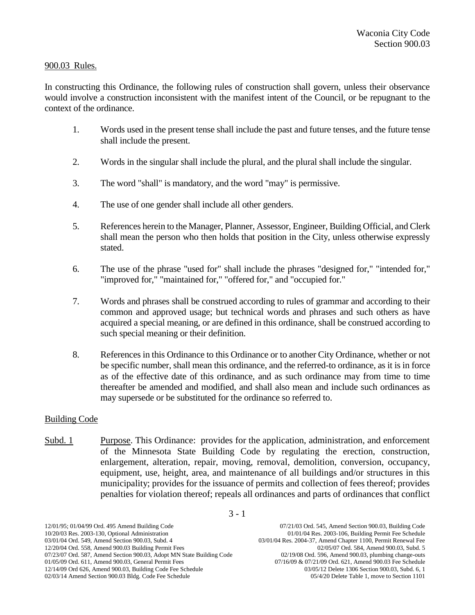## 900.03 Rules.

In constructing this Ordinance, the following rules of construction shall govern, unless their observance would involve a construction inconsistent with the manifest intent of the Council, or be repugnant to the context of the ordinance.

- 1. Words used in the present tense shall include the past and future tenses, and the future tense shall include the present.
- 2. Words in the singular shall include the plural, and the plural shall include the singular.
- 3. The word "shall" is mandatory, and the word "may" is permissive.
- 4. The use of one gender shall include all other genders.
- 5. References herein to the Manager, Planner, Assessor, Engineer, Building Official, and Clerk shall mean the person who then holds that position in the City, unless otherwise expressly stated.
- 6. The use of the phrase "used for" shall include the phrases "designed for," "intended for," "improved for," "maintained for," "offered for," and "occupied for."
- 7. Words and phrases shall be construed according to rules of grammar and according to their common and approved usage; but technical words and phrases and such others as have acquired a special meaning, or are defined in this ordinance, shall be construed according to such special meaning or their definition.
- 8. References in this Ordinance to this Ordinance or to another City Ordinance, whether or not be specific number, shall mean this ordinance, and the referred-to ordinance, as it is in force as of the effective date of this ordinance, and as such ordinance may from time to time thereafter be amended and modified, and shall also mean and include such ordinances as may supersede or be substituted for the ordinance so referred to.

## Building Code

Subd. 1 Purpose. This Ordinance: provides for the application, administration, and enforcement of the Minnesota State Building Code by regulating the erection, construction, enlargement, alteration, repair, moving, removal, demolition, conversion, occupancy, equipment, use, height, area, and maintenance of all buildings and/or structures in this municipality; provides for the issuance of permits and collection of fees thereof; provides penalties for violation thereof; repeals all ordinances and parts of ordinances that conflict

12/01/95; 01/04/99 Ord. 495 Amend Building Code 07/21/03 Ord. 545, Amend Section 900.03, Building Code<br>10/20/03 Res. 2003-130, Optional Administration 01/01/04 Res. 2003-106, Building Permit Fee Schedule 03/01/04 Ord. 549, Amend Section 900.03, Subd. 4 03/01/04 Res. 2004-37, Amend Chapter 1100, Permit Renewal Fee 12/20/04 Ord. 558, Amend 900.03 Building Permit Fees 02/05/07 Ord. 584, Amend 900.03, Subd. 5 07/23/07 Ord. 587, Amend Section 900.03, Adopt MN State Building Code 01/05/09 Ord. 611, Amend 900.03, General Permit Fees 07/16/09 & 07/21/09 Ord. 621, Amend 900.03 Fee Schedule 12/14/09 Ord 626, Amend 900.03, Building Code Fee Schedule 03/05/12 08/05/12 Delete 1306 Section 900.03, Subd. 6, 1<br>101/03/14 Amend Section 900.03 Bldg. Code Fee Schedule 05/4/20 Delete Table 1, move to Section 1101 02/03/14 Amend Section 900.03 Bldg. Code Fee Schedule